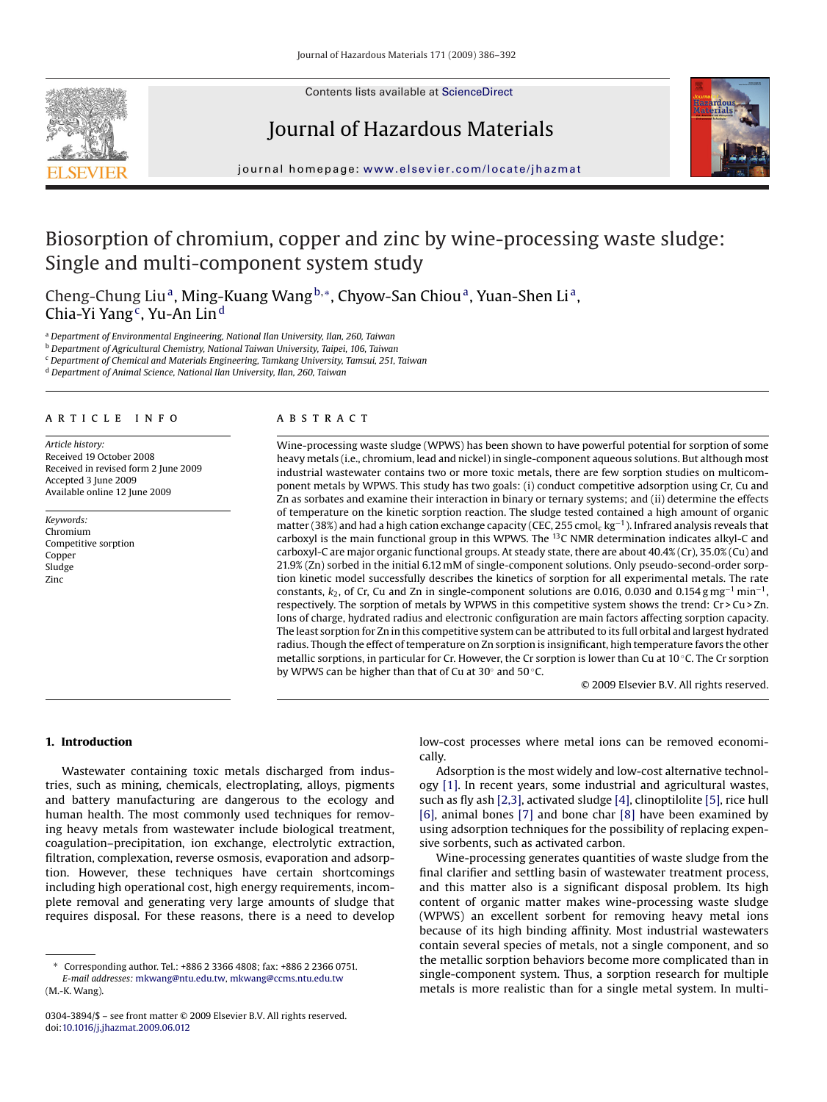

Contents lists available at [ScienceDirect](http://www.sciencedirect.com/science/journal/03043894)

# Journal of Hazardous Materials



journal homepage: [www.elsevier.com/locate/jhazmat](http://www.elsevier.com/locate/jhazmat)

# Biosorption of chromium, copper and zinc by wine-processing waste sludge: Single and multi-component system study

Cheng-Chung Liu<sup>a</sup>, Ming-Kuang Wang<sup>b,∗</sup>, Chyow-San Chiou<sup>a</sup>, Yuan-Shen Li<sup>a</sup>, Chia-Yi Yang<sup>c</sup>, Yu-An Lin<sup>d</sup>

<sup>a</sup> *Department of Environmental Engineering, National Ilan University, Ilan, 260, Taiwan*

<sup>b</sup> *Department of Agricultural Chemistry, National Taiwan University, Taipei, 106, Taiwan*

<sup>c</sup> *Department of Chemical and Materials Engineering, Tamkang University, Tamsui, 251, Taiwan*

<sup>d</sup> *Department of Animal Science, National Ilan University, Ilan, 260, Taiwan*

# article info

*Article history:* Received 19 October 2008 Received in revised form 2 June 2009 Accepted 3 June 2009 Available online 12 June 2009

*Keywords:* Chromium Competitive sorption Copper Sludge Zinc

# **ABSTRACT**

Wine-processing waste sludge (WPWS) has been shown to have powerful potential for sorption of some heavy metals (i.e., chromium, lead and nickel) in single-component aqueous solutions. But although most industrial wastewater contains two or more toxic metals, there are few sorption studies on multicomponent metals by WPWS. This study has two goals: (i) conduct competitive adsorption using Cr, Cu and Zn as sorbates and examine their interaction in binary or ternary systems; and (ii) determine the effects of temperature on the kinetic sorption reaction. The sludge tested contained a high amount of organic matter (38%) and had a high cation exchange capacity (CEC, 255 cmol<sub>c</sub> kg<sup>-1</sup>). Infrared analysis reveals that carboxyl is the main functional group in this WPWS. The <sup>13</sup>C NMR determination indicates alkyl-C and carboxyl-C are major organic functional groups. At steady state, there are about 40.4% (Cr), 35.0% (Cu) and 21.9% (Zn) sorbed in the initial 6.12 mM of single-component solutions. Only pseudo-second-order sorption kinetic model successfully describes the kinetics of sorption for all experimental metals. The rate constants,  $k_2$ , of Cr, Cu and Zn in single-component solutions are 0.016, 0.030 and 0.154 g mg<sup>-1</sup> min<sup>-1</sup>, respectively. The sorption of metals by WPWS in this competitive system shows the trend: Cr > Cu > Zn. Ions of charge, hydrated radius and electronic configuration are main factors affecting sorption capacity. The least sorption for Zn in this competitive system can be attributed to its full orbital and largest hydrated radius. Though the effect of temperature on Zn sorption is insignificant, high temperature favors the other metallic sorptions, in particular for Cr. However, the Cr sorption is lower than Cu at 10 ◦C. The Cr sorption by WPWS can be higher than that of Cu at 30◦ and 50 ◦C.

© 2009 Elsevier B.V. All rights reserved.

**1. Introduction**

Wastewater containing toxic metals discharged from industries, such as mining, chemicals, electroplating, alloys, pigments and battery manufacturing are dangerous to the ecology and human health. The most commonly used techniques for removing heavy metals from wastewater include biological treatment, coagulation–precipitation, ion exchange, electrolytic extraction, filtration, complexation, reverse osmosis, evaporation and adsorption. However, these techniques have certain shortcomings including high operational cost, high energy requirements, incomplete removal and generating very large amounts of sludge that requires disposal. For these reasons, there is a need to develop low-cost processes where metal ions can be removed economically.

Adsorption is the most widely and low-cost alternative technology [\[1\]. I](#page-6-0)n recent years, some industrial and agricultural wastes, such as fly ash [\[2,3\], a](#page-6-0)ctivated sludge [\[4\], c](#page-6-0)linoptilolite [\[5\], r](#page-6-0)ice hull [\[6\],](#page-6-0) animal bones [\[7\]](#page-6-0) and bone char [\[8\]](#page-6-0) have been examined by using adsorption techniques for the possibility of replacing expensive sorbents, such as activated carbon.

Wine-processing generates quantities of waste sludge from the final clarifier and settling basin of wastewater treatment process, and this matter also is a significant disposal problem. Its high content of organic matter makes wine-processing waste sludge (WPWS) an excellent sorbent for removing heavy metal ions because of its high binding affinity. Most industrial wastewaters contain several species of metals, not a single component, and so the metallic sorption behaviors become more complicated than in single-component system. Thus, a sorption research for multiple metals is more realistic than for a single metal system. In multi-

<sup>∗</sup> Corresponding author. Tel.: +886 2 3366 4808; fax: +886 2 2366 0751.

*E-mail addresses:* [mkwang@ntu.edu.tw](mailto:mkwang@ntu.edu.tw), [mkwang@ccms.ntu.edu.tw](mailto:mkwang@ccms.ntu.edu.tw) (M.-K. Wang).

<sup>0304-3894/\$ –</sup> see front matter © 2009 Elsevier B.V. All rights reserved. doi:[10.1016/j.jhazmat.2009.06.012](dx.doi.org/10.1016/j.jhazmat.2009.06.012)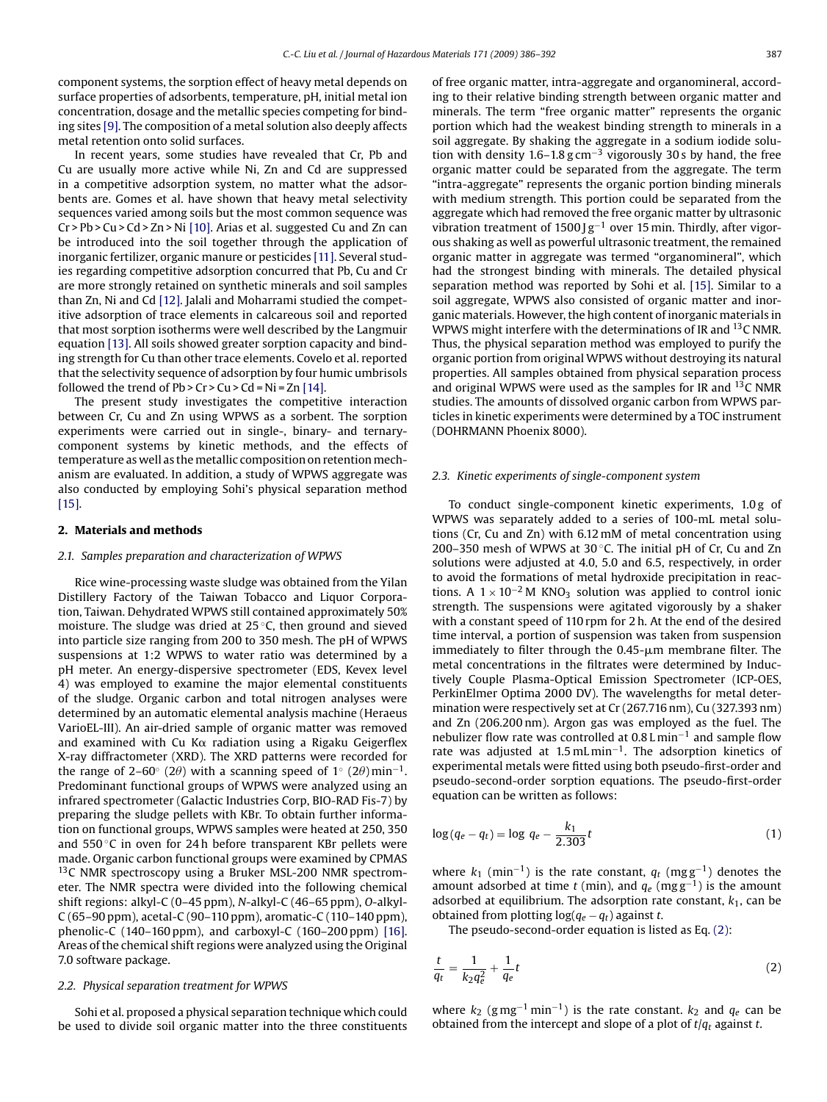component systems, the sorption effect of heavy metal depends on surface properties of adsorbents, temperature, pH, initial metal ion concentration, dosage and the metallic species competing for binding sites [\[9\]. T](#page-6-0)he composition of a metal solution also deeply affects metal retention onto solid surfaces.

In recent years, some studies have revealed that Cr, Pb and Cu are usually more active while Ni, Zn and Cd are suppressed in a competitive adsorption system, no matter what the adsorbents are. Gomes et al. have shown that heavy metal selectivity sequences varied among soils but the most common sequence was Cr > Pb > Cu > Cd > Zn > Ni [\[10\]. A](#page-6-0)rias et al. suggested Cu and Zn can be introduced into the soil together through the application of inorganic fertilizer, organic manure or pesticides [\[11\]. S](#page-6-0)everal studies regarding competitive adsorption concurred that Pb, Cu and Cr are more strongly retained on synthetic minerals and soil samples than Zn, Ni and Cd [\[12\]. J](#page-6-0)alali and Moharrami studied the competitive adsorption of trace elements in calcareous soil and reported that most sorption isotherms were well described by the Langmuir equation [\[13\]. A](#page-6-0)ll soils showed greater sorption capacity and binding strength for Cu than other trace elements. Covelo et al. reported that the selectivity sequence of adsorption by four humic umbrisols followed the trend of  $Pb > Cr > Cu > Cd = Ni = Zn [14].$  $Pb > Cr > Cu > Cd = Ni = Zn [14].$ 

The present study investigates the competitive interaction between Cr, Cu and Zn using WPWS as a sorbent. The sorption experiments were carried out in single-, binary- and ternarycomponent systems by kinetic methods, and the effects of temperature as well as the metallic composition on retention mechanism are evaluated. In addition, a study of WPWS aggregate was also conducted by employing Sohi's physical separation method [\[15\].](#page-6-0)

# **2. Materials and methods**

#### *2.1. Samples preparation and characterization of WPWS*

Rice wine-processing waste sludge was obtained from the Yilan Distillery Factory of the Taiwan Tobacco and Liquor Corporation, Taiwan. Dehydrated WPWS still contained approximately 50% moisture. The sludge was dried at 25 ◦C, then ground and sieved into particle size ranging from 200 to 350 mesh. The pH of WPWS suspensions at 1:2 WPWS to water ratio was determined by a pH meter. An energy-dispersive spectrometer (EDS, Kevex level 4) was employed to examine the major elemental constituents of the sludge. Organic carbon and total nitrogen analyses were determined by an automatic elemental analysis machine (Heraeus VarioEL-III). An air-dried sample of organic matter was removed and examined with Cu K $\alpha$  radiation using a Rigaku Geigerflex X-ray diffractometer (XRD). The XRD patterns were recorded for the range of 2–60° (2 $\theta$ ) with a scanning speed of 1° (2 $\theta$ ) min<sup>-1</sup>. Predominant functional groups of WPWS were analyzed using an infrared spectrometer (Galactic Industries Corp, BIO-RAD Fis-7) by preparing the sludge pellets with KBr. To obtain further information on functional groups, WPWS samples were heated at 250, 350 and 550 ◦C in oven for 24 h before transparent KBr pellets were made. Organic carbon functional groups were examined by CPMAS <sup>13</sup>C NMR spectroscopy using a Bruker MSL-200 NMR spectrometer. The NMR spectra were divided into the following chemical shift regions: alkyl-C (0–45 ppm), *N*-alkyl-C (46–65 ppm), *O*-alkyl-C (65–90 ppm), acetal-C (90–110 ppm), aromatic-C (110–140 ppm), phenolic-C (140–160 ppm), and carboxyl-C (160–200 ppm) [\[16\].](#page-6-0) Areas of the chemical shift regions were analyzed using the Original 7.0 software package.

# *2.2. Physical separation treatment for WPWS*

Sohi et al. proposed a physical separation technique which could be used to divide soil organic matter into the three constituents of free organic matter, intra-aggregate and organomineral, according to their relative binding strength between organic matter and minerals. The term "free organic matter" represents the organic portion which had the weakest binding strength to minerals in a soil aggregate. By shaking the aggregate in a sodium iodide solution with density 1.6–1.8  $g$  cm<sup>-3</sup> vigorously 30 s by hand, the free organic matter could be separated from the aggregate. The term "intra-aggregate" represents the organic portion binding minerals with medium strength. This portion could be separated from the aggregate which had removed the free organic matter by ultrasonic vibration treatment of 1500 J g<sup>-1</sup> over 15 min. Thirdly, after vigorous shaking as well as powerful ultrasonic treatment, the remained organic matter in aggregate was termed "organomineral", which had the strongest binding with minerals. The detailed physical separation method was reported by Sohi et al. [\[15\].](#page-6-0) Similar to a soil aggregate, WPWS also consisted of organic matter and inorganic materials. However, the high content of inorganic materials in WPWS might interfere with the determinations of IR and <sup>13</sup>C NMR. Thus, the physical separation method was employed to purify the organic portion from original WPWS without destroying its natural properties. All samples obtained from physical separation process and original WPWS were used as the samples for IR and <sup>13</sup>C NMR studies. The amounts of dissolved organic carbon from WPWS particles in kinetic experiments were determined by a TOC instrument (DOHRMANN Phoenix 8000).

#### *2.3. Kinetic experiments of single-component system*

To conduct single-component kinetic experiments, 1.0 g of WPWS was separately added to a series of 100-mL metal solutions (Cr, Cu and Zn) with 6.12 mM of metal concentration using 200–350 mesh of WPWS at 30 $°C$ . The initial pH of Cr, Cu and Zn solutions were adjusted at 4.0, 5.0 and 6.5, respectively, in order to avoid the formations of metal hydroxide precipitation in reactions. A  $1 \times 10^{-2}$  M KNO<sub>3</sub> solution was applied to control ionic strength. The suspensions were agitated vigorously by a shaker with a constant speed of 110 rpm for 2 h. At the end of the desired time interval, a portion of suspension was taken from suspension immediately to filter through the  $0.45$ - $\mu$ m membrane filter. The metal concentrations in the filtrates were determined by Inductively Couple Plasma-Optical Emission Spectrometer (ICP-OES, PerkinElmer Optima 2000 DV). The wavelengths for metal determination were respectively set at Cr (267.716 nm), Cu (327.393 nm) and Zn (206.200 nm). Argon gas was employed as the fuel. The nebulizer flow rate was controlled at 0.8 Lmin<sup>-1</sup> and sample flow rate was adjusted at 1.5 mL min<sup>-1</sup>. The adsorption kinetics of experimental metals were fitted using both pseudo-first-order and pseudo-second-order sorption equations. The pseudo-first-order equation can be written as follows:

$$
\log(q_e - q_t) = \log q_e - \frac{k_1}{2.303}t\tag{1}
$$

where  $k_1$  (min<sup>-1</sup>) is the rate constant,  $q_t$  (mg g<sup>-1</sup>) denotes the amount adsorbed at time *t* (min), and *qe* (mg g−1) is the amount adsorbed at equilibrium. The adsorption rate constant,  $k_1$ , can be obtained from plotting log(*qe* − *qt*) against *t*.

The pseudo-second-order equation is listed as Eq. (2):

$$
\frac{t}{q_t} = \frac{1}{k_2 q_e^2} + \frac{1}{q_e} t \tag{2}
$$

where  $k_2$  (g mg<sup>-1</sup> min<sup>-1</sup>) is the rate constant.  $k_2$  and  $q_e$  can be obtained from the intercept and slope of a plot of *t*/*qt* against *t*.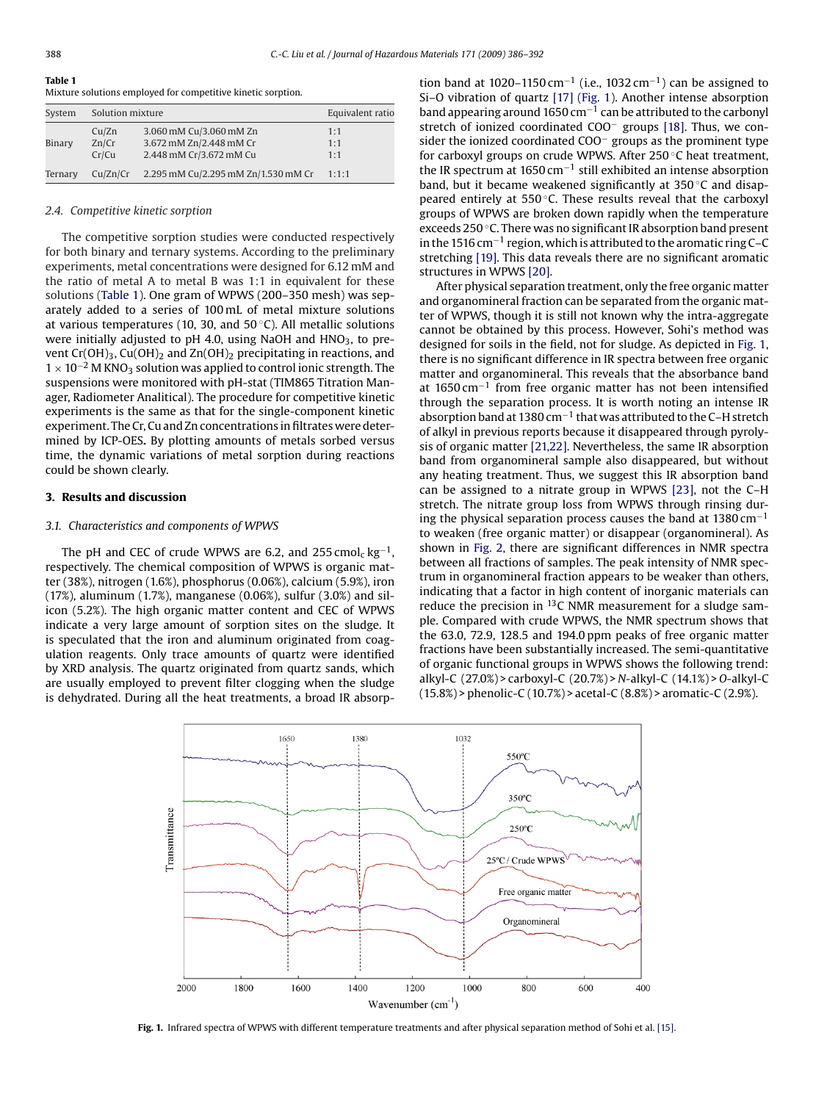# **Table 1**

|  |  | Mixture solutions employed for competitive kinetic sorption. |  |
|--|--|--------------------------------------------------------------|--|
|  |  |                                                              |  |

| System  |                         | Solution mixture                                                              |                   |
|---------|-------------------------|-------------------------------------------------------------------------------|-------------------|
| Binary  | Cu/Zn<br>Zn/Cr<br>Cr/Cu | 3.060 mM Cu/3.060 mM Zn<br>3.672 mM Zn/2.448 mM Cr<br>2.448 mM Cr/3.672 mM Cu | 1:1<br>1:1<br>1:1 |
| Ternary | Cu/Zn/Cr                | 2.295 mM Cu/2.295 mM Zn/1.530 mM Cr                                           | 1:1:1             |

#### *2.4. Competitive kinetic sorption*

The competitive sorption studies were conducted respectively for both binary and ternary systems. According to the preliminary experiments, metal concentrations were designed for 6.12 mM and the ratio of metal A to metal B was 1:1 in equivalent for these solutions (Table 1). One gram of WPWS (200–350 mesh) was separately added to a series of 100 mL of metal mixture solutions at various temperatures (10, 30, and 50 ◦C). All metallic solutions were initially adjusted to pH 4.0, using NaOH and  $HNO<sub>3</sub>$ , to prevent Cr(OH)<sub>3</sub>, Cu(OH)<sub>2</sub> and Zn(OH)<sub>2</sub> precipitating in reactions, and  $1 \times 10^{-2}$  M KNO<sub>3</sub> solution was applied to control ionic strength. The suspensions were monitored with pH-stat (TIM865 Titration Manager, Radiometer Analitical). The procedure for competitive kinetic experiments is the same as that for the single-component kinetic experiment. The Cr, Cu and Zn concentrations in filtrates were determined by ICP-OES**.** By plotting amounts of metals sorbed versus time, the dynamic variations of metal sorption during reactions could be shown clearly.

# **3. Results and discussion**

#### *3.1. Characteristics and components of WPWS*

The pH and CEC of crude WPWS are 6.2, and 255 cmol<sub>c</sub> kg<sup>-1</sup>, respectively. The chemical composition of WPWS is organic matter (38%), nitrogen (1.6%), phosphorus (0.06%), calcium (5.9%), iron (17%), aluminum (1.7%), manganese (0.06%), sulfur (3.0%) and silicon (5.2%). The high organic matter content and CEC of WPWS indicate a very large amount of sorption sites on the sludge. It is speculated that the iron and aluminum originated from coagulation reagents. Only trace amounts of quartz were identified by XRD analysis. The quartz originated from quartz sands, which are usually employed to prevent filter clogging when the sludge is dehydrated. During all the heat treatments, a broad IR absorption band at 1020–1150 cm<sup>-1</sup> (i.e., 1032 cm<sup>-1</sup>) can be assigned to Si–O vibration of quartz [\[17\]](#page-6-0) (Fig. 1). Another intense absorption band appearing around 1650 cm−<sup>1</sup> can be attributed to the carbonyl stretch of ionized coordinated COO− groups [\[18\].](#page-6-0) Thus, we consider the ionized coordinated COO− groups as the prominent type for carboxyl groups on crude WPWS. After 250 ◦C heat treatment, the IR spectrum at 1650 cm−<sup>1</sup> still exhibited an intense absorption band, but it became weakened significantly at 350 ◦C and disappeared entirely at 550 °C. These results reveal that the carboxyl groups of WPWS are broken down rapidly when the temperature exceeds 250 ◦C. There was no significant IR absorption band present in the 1516 cm−<sup>1</sup> region, which is attributed to the aromatic ring C–C stretching [\[19\]. T](#page-6-0)his data reveals there are no significant aromatic structures in WPWS [\[20\].](#page-6-0)

After physical separation treatment, only the free organic matter and organomineral fraction can be separated from the organic matter of WPWS, though it is still not known why the intra-aggregate cannot be obtained by this process. However, Sohi's method was designed for soils in the field, not for sludge. As depicted in Fig. 1, there is no significant difference in IR spectra between free organic matter and organomineral. This reveals that the absorbance band at 1650 cm−<sup>1</sup> from free organic matter has not been intensified through the separation process. It is worth noting an intense IR absorption band at 1380 cm−<sup>1</sup> that was attributed to the C–H stretch of alkyl in previous reports because it disappeared through pyrolysis of organic matter [\[21,22\]. N](#page-6-0)evertheless, the same IR absorption band from organomineral sample also disappeared, but without any heating treatment. Thus, we suggest this IR absorption band can be assigned to a nitrate group in WPWS [\[23\],](#page-6-0) not the C–H stretch. The nitrate group loss from WPWS through rinsing during the physical separation process causes the band at  $1380 \text{ cm}^{-1}$ to weaken (free organic matter) or disappear (organomineral). As shown in [Fig. 2,](#page-3-0) there are significant differences in NMR spectra between all fractions of samples. The peak intensity of NMR spectrum in organomineral fraction appears to be weaker than others, indicating that a factor in high content of inorganic materials can reduce the precision in  $^{13}$ C NMR measurement for a sludge sample. Compared with crude WPWS, the NMR spectrum shows that the 63.0, 72.9, 128.5 and 194.0 ppm peaks of free organic matter fractions have been substantially increased. The semi-quantitative of organic functional groups in WPWS shows the following trend: alkyl-C (27.0%) > carboxyl-C (20.7%) > *N-*alkyl-C (14.1%) > *O*-alkyl-C (15.8%) > phenolic-C (10.7%) > acetal-C (8.8%) > aromatic-C (2.9%).



**Fig. 1.** Infrared spectra of WPWS with different temperature treatments and after physical separation method of Sohi et al. [\[15\].](#page-6-0)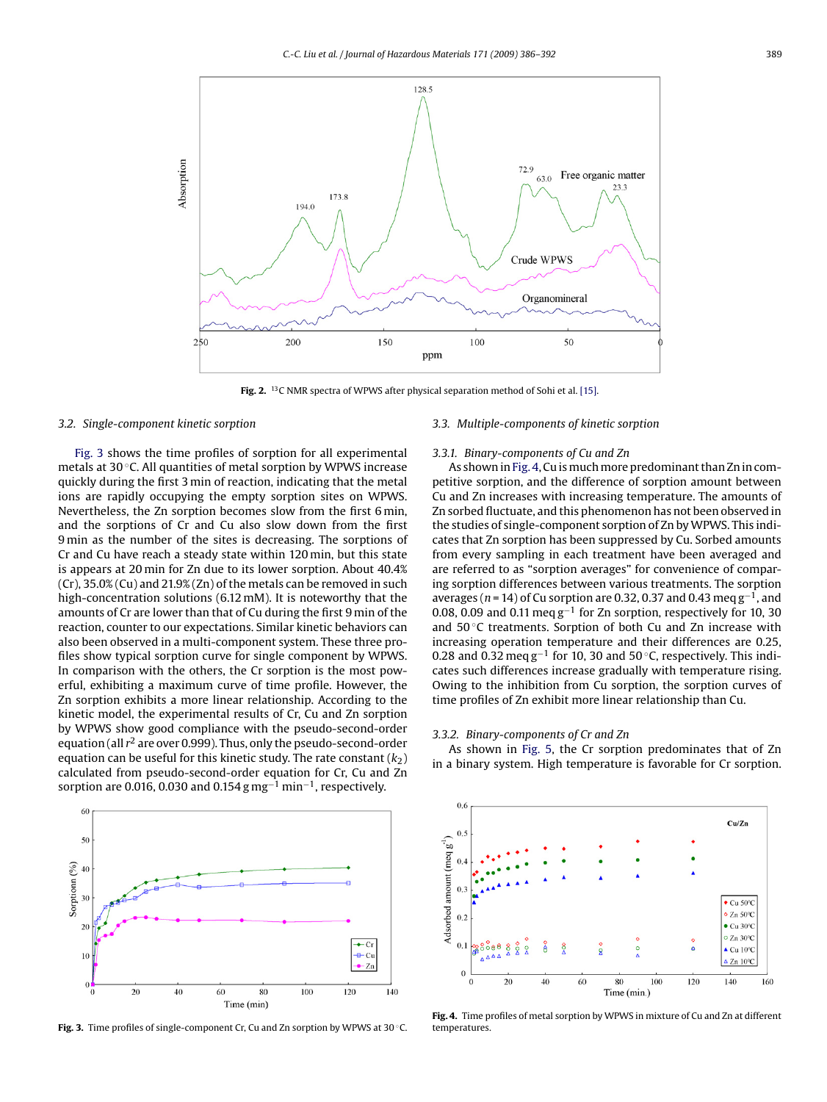<span id="page-3-0"></span>

**Fig. 2.** 13C NMR spectra of WPWS after physical separation method of Sohi et al. [\[15\].](#page-6-0)

#### *3.2. Single-component kinetic sorption*

Fig. 3 shows the time profiles of sorption for all experimental metals at 30 ◦C. All quantities of metal sorption by WPWS increase quickly during the first 3 min of reaction, indicating that the metal ions are rapidly occupying the empty sorption sites on WPWS. Nevertheless, the Zn sorption becomes slow from the first 6 min, and the sorptions of Cr and Cu also slow down from the first 9 min as the number of the sites is decreasing. The sorptions of Cr and Cu have reach a steady state within 120 min, but this state is appears at 20 min for Zn due to its lower sorption. About 40.4% (Cr), 35.0% (Cu) and 21.9% (Zn) of the metals can be removed in such high-concentration solutions (6.12 mM). It is noteworthy that the amounts of Cr are lower than that of Cu during the first 9 min of the reaction, counter to our expectations. Similar kinetic behaviors can also been observed in a multi-component system. These three profiles show typical sorption curve for single component by WPWS. In comparison with the others, the Cr sorption is the most powerful, exhibiting a maximum curve of time profile. However, the Zn sorption exhibits a more linear relationship. According to the kinetic model, the experimental results of Cr, Cu and Zn sorption by WPWS show good compliance with the pseudo-second-order equation (all *r*<sup>2</sup> are over 0.999). Thus, only the pseudo-second-order equation can be useful for this kinetic study. The rate constant  $(k<sub>2</sub>)$ calculated from pseudo-second-order equation for Cr, Cu and Zn sorption are 0.016, 0.030 and 0.154 g mg<sup>-1</sup> min<sup>-1</sup>, respectively.



**Fig. 3.** Time profiles of single-component Cr, Cu and Zn sorption by WPWS at 30 ◦C.

# *3.3. Multiple-components of kinetic sorption*

#### *3.3.1. Binary-components of Cu and Zn*

As shown in Fig. 4, Cu is much more predominant than Zn in competitive sorption, and the difference of sorption amount between Cu and Zn increases with increasing temperature. The amounts of Zn sorbed fluctuate, and this phenomenon has not been observed in the studies of single-component sorption of Zn by WPWS. This indicates that Zn sorption has been suppressed by Cu. Sorbed amounts from every sampling in each treatment have been averaged and are referred to as "sorption averages" for convenience of comparing sorption differences between various treatments. The sorption averages (*n* = 14) of Cu sorption are 0.32, 0.37 and 0.43 meq g−1, and 0.08, 0.09 and 0.11 meg  $g^{-1}$  for Zn sorption, respectively for 10, 30 and 50 ◦C treatments. Sorption of both Cu and Zn increase with increasing operation temperature and their differences are 0.25, 0.28 and 0.32 meq  $g^{-1}$  for 10, 30 and 50 °C, respectively. This indicates such differences increase gradually with temperature rising. Owing to the inhibition from Cu sorption, the sorption curves of time profiles of Zn exhibit more linear relationship than Cu.

# *3.3.2. Binary-components of Cr and Zn*

As shown in [Fig. 5,](#page-4-0) the Cr sorption predominates that of Zn in a binary system. High temperature is favorable for Cr sorption.



**Fig. 4.** Time profiles of metal sorption by WPWS in mixture of Cu and Zn at different temperatures.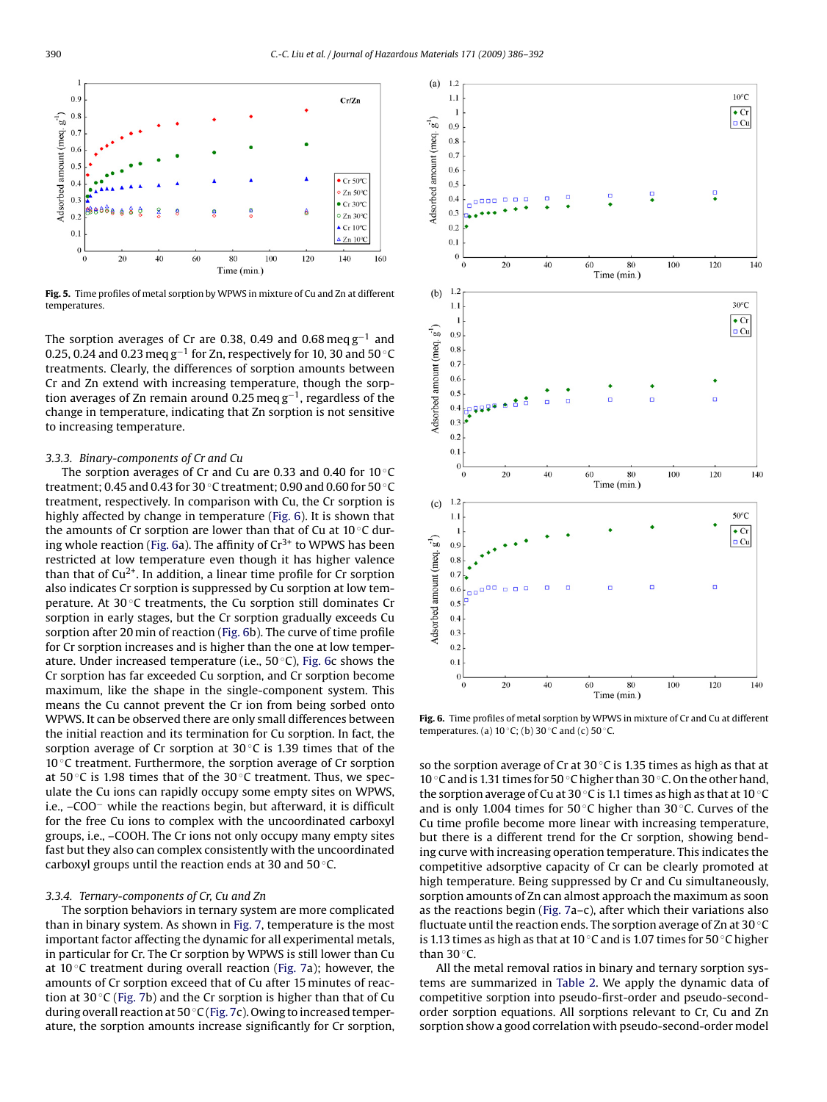<span id="page-4-0"></span>

**Fig. 5.** Time profiles of metal sorption by WPWS in mixture of Cu and Zn at different temperatures.

The sorption averages of Cr are 0.38, 0.49 and 0.68 meq g−<sup>1</sup> and 0.25, 0.24 and 0.23 meq g−<sup>1</sup> for Zn, respectively for 10, 30 and 50 ◦C treatments. Clearly, the differences of sorption amounts between Cr and Zn extend with increasing temperature, though the sorption averages of Zn remain around 0.25 meq g−1, regardless of the change in temperature, indicating that Zn sorption is not sensitive to increasing temperature.

# *3.3.3. Binary-components of Cr and Cu*

The sorption averages of Cr and Cu are 0.33 and 0.40 for  $10\degree$ C treatment; 0.45 and 0.43 for 30 ◦C treatment; 0.90 and 0.60 for 50 ◦C treatment, respectively. In comparison with Cu, the Cr sorption is highly affected by change in temperature (Fig. 6). It is shown that the amounts of Cr sorption are lower than that of Cu at 10 ◦C during whole reaction (Fig. 6a). The affinity of  $Cr^{3+}$  to WPWS has been restricted at low temperature even though it has higher valence than that of  $Cu^{2+}$ . In addition, a linear time profile for Cr sorption also indicates Cr sorption is suppressed by Cu sorption at low temperature. At 30 ℃ treatments, the Cu sorption still dominates Cr sorption in early stages, but the Cr sorption gradually exceeds Cu sorption after 20 min of reaction (Fig. 6b). The curve of time profile for Cr sorption increases and is higher than the one at low temperature. Under increased temperature (i.e., 50 ◦C), Fig. 6c shows the Cr sorption has far exceeded Cu sorption, and Cr sorption become maximum, like the shape in the single-component system. This means the Cu cannot prevent the Cr ion from being sorbed onto WPWS. It can be observed there are only small differences between the initial reaction and its termination for Cu sorption. In fact, the sorption average of Cr sorption at  $30^{\circ}$ C is 1.39 times that of the 10 ◦C treatment. Furthermore, the sorption average of Cr sorption at 50 $\degree$ C is 1.98 times that of the 30 $\degree$ C treatment. Thus, we speculate the Cu ions can rapidly occupy some empty sites on WPWS, i.e., –COO− while the reactions begin, but afterward, it is difficult for the free Cu ions to complex with the uncoordinated carboxyl groups, i.e., –COOH. The Cr ions not only occupy many empty sites fast but they also can complex consistently with the uncoordinated carboxyl groups until the reaction ends at 30 and 50 ◦C.

# *3.3.4. Ternary-components of Cr, Cu and Zn*

The sorption behaviors in ternary system are more complicated than in binary system. As shown in [Fig. 7, t](#page-5-0)emperature is the most important factor affecting the dynamic for all experimental metals, in particular for Cr. The Cr sorption by WPWS is still lower than Cu at 10 $\degree$ C treatment during overall reaction [\(Fig. 7a](#page-5-0)); however, the amounts of Cr sorption exceed that of Cu after 15 minutes of reaction at 30 $\circ$ C ([Fig. 7b\)](#page-5-0) and the Cr sorption is higher than that of Cu during overall reaction at 50 ◦C [\(Fig. 7c\)](#page-5-0). Owing to increased temperature, the sorption amounts increase significantly for Cr sorption,



**Fig. 6.** Time profiles of metal sorption by WPWS in mixture of Cr and Cu at different temperatures. (a)  $10 °C$ ; (b)  $30 °C$  and (c)  $50 °C$ .

so the sorption average of Cr at  $30^{\circ}$ C is 1.35 times as high as that at 10 ◦C and is 1.31 times for 50 ◦C higher than 30 ◦C. On the other hand, the sorption average of Cu at 30 ◦C is 1.1 times as high as that at 10 ◦C and is only 1.004 times for 50 $\degree$ C higher than 30 $\degree$ C. Curves of the Cu time profile become more linear with increasing temperature, but there is a different trend for the Cr sorption, showing bending curve with increasing operation temperature. This indicates the competitive adsorptive capacity of Cr can be clearly promoted at high temperature. Being suppressed by Cr and Cu simultaneously, sorption amounts of Zn can almost approach the maximum as soon as the reactions begin [\(Fig. 7a–](#page-5-0)c), after which their variations also fluctuate until the reaction ends. The sorption average of Zn at 30  $\rm{^{\circ}C}$ is 1.13 times as high as that at 10 ◦C and is 1.07 times for 50 ◦C higher than  $30^{\circ}$ C.

All the metal removal ratios in binary and ternary sorption systems are summarized in [Table 2.](#page-5-0) We apply the dynamic data of competitive sorption into pseudo-first-order and pseudo-secondorder sorption equations. All sorptions relevant to Cr, Cu and Zn sorption show a good correlation with pseudo-second-order model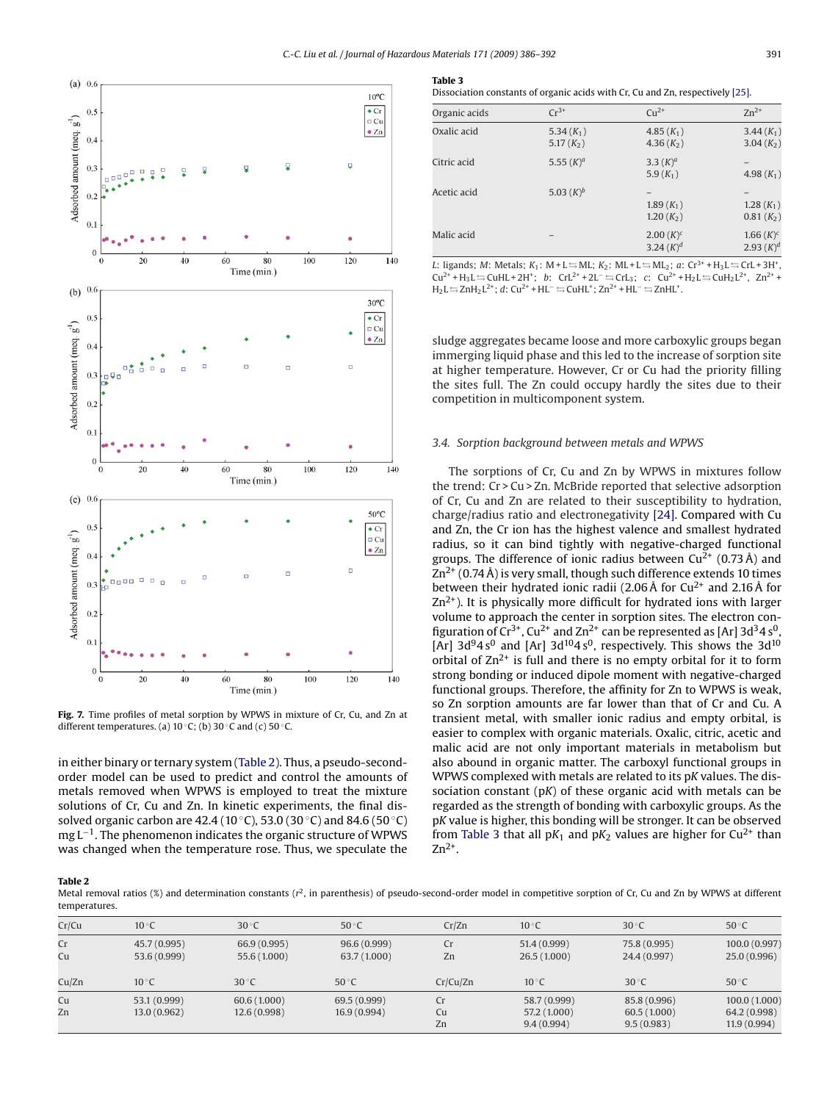<span id="page-5-0"></span>

**Fig. 7.** Time profiles of metal sorption by WPWS in mixture of Cr, Cu, and Zn at different temperatures. (a)  $10 °C$ ; (b)  $30 °C$  and (c)  $50 °C$ .

in either binary or ternary system (Table 2). Thus, a pseudo-secondorder model can be used to predict and control the amounts of metals removed when WPWS is employed to treat the mixture solutions of Cr, Cu and Zn. In kinetic experiments, the final dissolved organic carbon are 42.4 (10 °C), 53.0 (30 °C) and 84.6 (50 °C) mg L<sup>-1</sup>. The phenomenon indicates the organic structure of WPWS was changed when the temperature rose. Thus, we speculate the **Table 3**

Dissociation constants of organic acids with Cr, Cu and Zn, respectively [\[25\].](#page-6-0)

| Organic acids | $Cr^{3+}$                    | $Cu^{2+}$                     | $Zn^{2+}$                    |
|---------------|------------------------------|-------------------------------|------------------------------|
| Oxalic acid   | 5.34 $(K_1)$<br>5.17 $(K_2)$ | 4.85 $(K_1)$<br>4.36 $(K_2)$  | $3.44(K_1)$<br>3.04 $(K_2)$  |
| Citric acid   | 5.55 $(K)^a$                 | 3.3 $(K)^a$<br>5.9 $(K_1)$    | 4.98 $(K_1)$                 |
| Acetic acid   | 5.03 $(K)^b$                 | $1.89(K_1)$<br>$1.20(K_{2})$  | $1.28(K_1)$<br>$0.81(K_2)$   |
| Malic acid    |                              | $2.00(K)^{c}$<br>3.24 $(K)^d$ | 1.66 $(K)^c$<br>2.93 $(K)^d$ |

*L*: ligands; *M*: Metals; *K*<sub>1</sub>: M + L  $\equiv$  ML; *K*<sub>2</sub>: ML + L  $\equiv$  ML<sub>2</sub>; *a*: Cr<sup>3+</sup> + H<sub>3</sub>L  $\equiv$  CrL + 3H<sup>+</sup>,  $Cu^{2+} + H_3L \rightleftharpoons CuHL + 2H^*$ ; *b*:  $CrL^{2+} + 2L^- \rightleftharpoons CrL_3$ ; *c*:  $Cu^{2+} + H_2L \rightleftharpoons CuH_2L^{2+}$ ,  $Zn^{2+} +$  $H_2L \leftrightarrows ZnH_2L^{2+}$ ; *d*: Cu<sup>2+</sup> + HL<sup>-</sup>  $\leftrightarrows$  CuHL<sup>+</sup>; Zn<sup>2+</sup> + HL<sup>-</sup>  $\leftrightarrows$  ZnHL<sup>+</sup>.

sludge aggregates became loose and more carboxylic groups began immerging liquid phase and this led to the increase of sorption site at higher temperature. However, Cr or Cu had the priority filling the sites full. The Zn could occupy hardly the sites due to their competition in multicomponent system.

#### *3.4. Sorption background between metals and WPWS*

The sorptions of Cr, Cu and Zn by WPWS in mixtures follow the trend: Cr > Cu > Zn. McBride reported that selective adsorption of Cr, Cu and Zn are related to their susceptibility to hydration, charge/radius ratio and electronegativity [\[24\]. C](#page-6-0)ompared with Cu and Zn, the Cr ion has the highest valence and smallest hydrated radius, so it can bind tightly with negative-charged functional groups. The difference of ionic radius between  $Cu^{2+}$  (0.73 Å) and  $\text{Zn}^{2+}$  (0.74 Å) is very small, though such difference extends 10 times between their hydrated ionic radii (2.06 Å for  $Cu^{2+}$  and 2.16 Å for  $Zn^{2+}$ ). It is physically more difficult for hydrated ions with larger volume to approach the center in sorption sites. The electron configuration of  $Cr^{3+}$ , Cu<sup>2+</sup> and Zn<sup>2+</sup> can be represented as [Ar] 3d<sup>3</sup>4 s<sup>0</sup> [Ar]  $3d^{9}4s^{0}$  and [Ar]  $3d^{10}4s^{0}$ , respectively. This shows the  $3d^{10}$ orbital of  $\text{Zn}^{2+}$  is full and there is no empty orbital for it to form strong bonding or induced dipole moment with negative-charged functional groups. Therefore, the affinity for Zn to WPWS is weak, so Zn sorption amounts are far lower than that of Cr and Cu. A transient metal, with smaller ionic radius and empty orbital, is easier to complex with organic materials. Oxalic, citric, acetic and malic acid are not only important materials in metabolism but also abound in organic matter. The carboxyl functional groups in WPWS complexed with metals are related to its p*K* values. The dissociation constant (p*K*) of these organic acid with metals can be regarded as the strength of bonding with carboxylic groups. As the p*K* value is higher, this bonding will be stronger. It can be observed from Table 3 that all  $pK_1$  and  $pK_2$  values are higher for  $Cu^{2+}$  than  $Zn^{2+}$ .

#### **Table 2**

Metal removal ratios (%) and determination constants ( $r^2$ , in parenthesis) of pseudo-second-order model in competitive sorption of Cr, Cu and Zn by WPWS at different temperatures.

| Cr/Cu    | $10^{\circ}$ C               | $30^{\circ}$ C               | $50^{\circ}$ C               | Cr/Zn          | $10^{\circ}$ C                             | $30^{\circ}$ C                            | $50^{\circ}$ C                              |
|----------|------------------------------|------------------------------|------------------------------|----------------|--------------------------------------------|-------------------------------------------|---------------------------------------------|
| Cr<br>Cu | 45.7 (0.995)<br>53.6 (0.999) | 66.9 (0.995)<br>55.6 (1.000) | 96.6 (0.999)<br>63.7 (1.000) | Cr<br>Zn       | 51.4 (0.999)<br>26.5(1.000)                | 75.8 (0.995)<br>24.4 (0.997)              | 100.0(0.997)<br>25.0(0.996)                 |
| Cu/Zn    | $10^{\circ}$ C               | $30^{\circ}$ C               | $50^{\circ}$ C               | Cr/Cu/Zn       | $10^{\circ}$ C                             | $30^{\circ}$ C                            | $50^{\circ}$ C                              |
| Cu<br>Zn | 53.1 (0.999)<br>13.0(0.962)  | 60.6 (1.000)<br>12.6 (0.998) | 69.5 (0.999)<br>16.9 (0.994) | Cr<br>Cu<br>Zn | 58.7 (0.999)<br>57.2 (1.000)<br>9.4(0.994) | 85.8 (0.996)<br>60.5(1.000)<br>9.5(0.983) | 100.0(1.000)<br>64.2 (0.998)<br>11.9(0.994) |